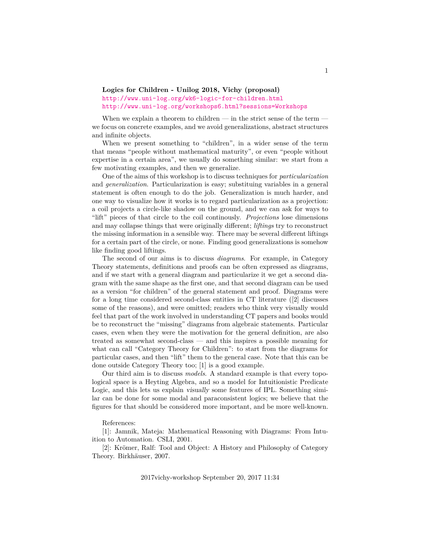## **Logics for Children - Unilog 2018, Vichy (proposal)** <http://www.uni-log.org/wk6-logic-for-children.html> <http://www.uni-log.org/workshops6.html?sessions=Workshops>

When we explain a theorem to children — in the strict sense of the term we focus on concrete examples, and we avoid generalizations, abstract structures and infinite objects.

When we present something to "children", in a wider sense of the term that means "people without mathematical maturity", or even "people without expertise in a certain area", we usually do something similar: we start from a few motivating examples, and then we generalize.

One of the aims of this workshop is to discuss techniques for *particularization* and *generalization*. Particularization is easy; substituing variables in a general statement is often enough to do the job. Generalization is much harder, and one way to visualize how it works is to regard particularization as a projection: a coil projects a circle-like shadow on the ground, and we can ask for ways to "lift" pieces of that circle to the coil continously. *Projections* lose dimensions and may collapse things that were originally different; *liftings* try to reconstruct the missing information in a sensible way. There may be several different liftings for a certain part of the circle, or none. Finding good generalizations is somehow like finding good liftings.

The second of our aims is to discuss *diagrams*. For example, in Category Theory statements, definitions and proofs can be often expressed as diagrams, and if we start with a general diagram and particularize it we get a second diagram with the same shape as the first one, and that second diagram can be used as a version "for children" of the general statement and proof. Diagrams were for a long time considered second-class entities in CT literature ([2] discusses some of the reasons), and were omitted; readers who think very visually would feel that part of the work involved in understanding CT papers and books would be to reconstruct the "missing" diagrams from algebraic statements. Particular cases, even when they were the motivation for the general definition, are also treated as somewhat second-class — and this inspires a possible meaning for what can call "Category Theory for Children": to start from the diagrams for particular cases, and then "lift" them to the general case. Note that this can be done outside Category Theory too; [1] is a good example.

Our third aim is to discuss *models*. A standard example is that every topological space is a Heyting Algebra, and so a model for Intuitionistic Predicate Logic, and this lets us explain visually some features of IPL. Something similar can be done for some modal and paraconsistent logics; we believe that the figures for that should be considered more important, and be more well-known.

## References:

[1]: Jamnik, Mateja: Mathematical Reasoning with Diagrams: From Intuition to Automation. CSLI, 2001.

[2]: Krömer, Ralf: Tool and Object: A History and Philosophy of Category Theory. Birkhäuser, 2007.

2017vichy-workshop September 20, 2017 11:34